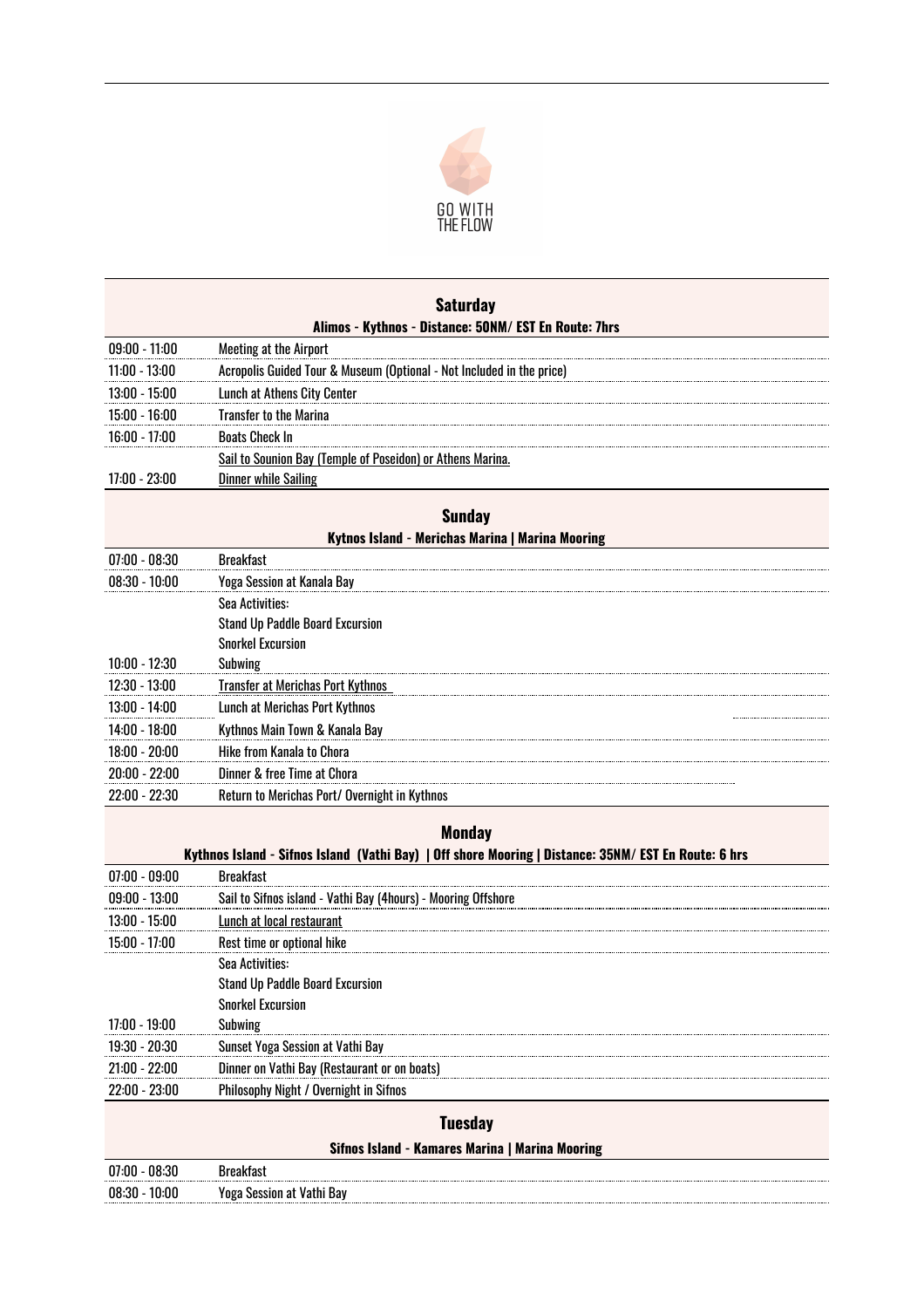

| <b>Saturday</b>                                                                                      |                                                                       |  |
|------------------------------------------------------------------------------------------------------|-----------------------------------------------------------------------|--|
| Alimos - Kythnos - Distance: 50NM/ EST En Route: 7hrs                                                |                                                                       |  |
| $09:00 - 11:00$                                                                                      | <b>Meeting at the Airport</b>                                         |  |
| $11:00 - 13:00$                                                                                      | Acropolis Guided Tour & Museum (Optional - Not Included in the price) |  |
| 13:00 - 15:00                                                                                        | <b>Lunch at Athens City Center</b>                                    |  |
| 15:00 - 16:00                                                                                        | <b>Transfer to the Marina</b>                                         |  |
| 16:00 - 17:00                                                                                        | <b>Boats Check In</b>                                                 |  |
|                                                                                                      | Sail to Sounion Bay (Temple of Poseidon) or Athens Marina.            |  |
| 17:00 - 23:00                                                                                        | <b>Dinner while Sailing</b>                                           |  |
|                                                                                                      |                                                                       |  |
| <b>Sunday</b><br>Kytnos Island - Merichas Marina   Marina Mooring                                    |                                                                       |  |
| $07:00 - 08:30$                                                                                      | <b>Breakfast</b>                                                      |  |
| $08:30 - 10:00$                                                                                      | Yoga Session at Kanala Bay                                            |  |
|                                                                                                      | Sea Activities:                                                       |  |
|                                                                                                      | <b>Stand Up Paddle Board Excursion</b>                                |  |
|                                                                                                      | <b>Snorkel Excursion</b>                                              |  |
| 10:00 - 12:30                                                                                        | Subwing                                                               |  |
| $12:30 - 13:00$                                                                                      | <b>Transfer at Merichas Port Kythnos</b>                              |  |
| 13:00 - 14:00                                                                                        | Lunch at Merichas Port Kythnos                                        |  |
| 14:00 - 18:00                                                                                        | Kythnos Main Town & Kanala Bay                                        |  |
| 18:00 - 20:00                                                                                        | Hike from Kanala to Chora                                             |  |
| 20:00 - 22:00                                                                                        | Dinner & free Time at Chora                                           |  |
| 22:00 - 22:30                                                                                        | Return to Merichas Port/ Overnight in Kythnos                         |  |
|                                                                                                      | <b>Monday</b>                                                         |  |
| Kythnos Island - Sifnos Island (Vathi Bay)   Off shore Mooring   Distance: 35NM/ EST En Route: 6 hrs |                                                                       |  |
| $07:00 - 09:00$                                                                                      | <b>Breakfast</b>                                                      |  |
| $09:00 - 13:00$                                                                                      | Sail to Sifnos island - Vathi Bay (4hours) - Mooring Offshore         |  |
| $13:00 - 15:00$                                                                                      | Lunch at local restaurant                                             |  |
| 15:00 - 17:00                                                                                        | Rest time or optional hike                                            |  |
|                                                                                                      | Sea Activities:                                                       |  |
|                                                                                                      | <b>Stand Up Paddle Board Excursion</b>                                |  |
|                                                                                                      | <b>Snorkel Excursion</b>                                              |  |
| 17:00 - 19:00                                                                                        | Subwing                                                               |  |
| 19:30 - 20:30                                                                                        | Sunset Yoga Session at Vathi Bay                                      |  |
| $21:00 - 22:00$                                                                                      | Dinner on Vathi Bay (Restaurant or on boats)                          |  |
| 22:00 - 23:00                                                                                        | Philosophy Night / Overnight in Sifnos                                |  |
| <b>Tuesday</b>                                                                                       |                                                                       |  |
| Sifnos Island - Kamares Marina   Marina Mooring                                                      |                                                                       |  |
| $07:00 - 08:30$                                                                                      | <b>Breakfast</b>                                                      |  |
| $08:30 - 10:00$                                                                                      | Yoga Session at Vathi Bay                                             |  |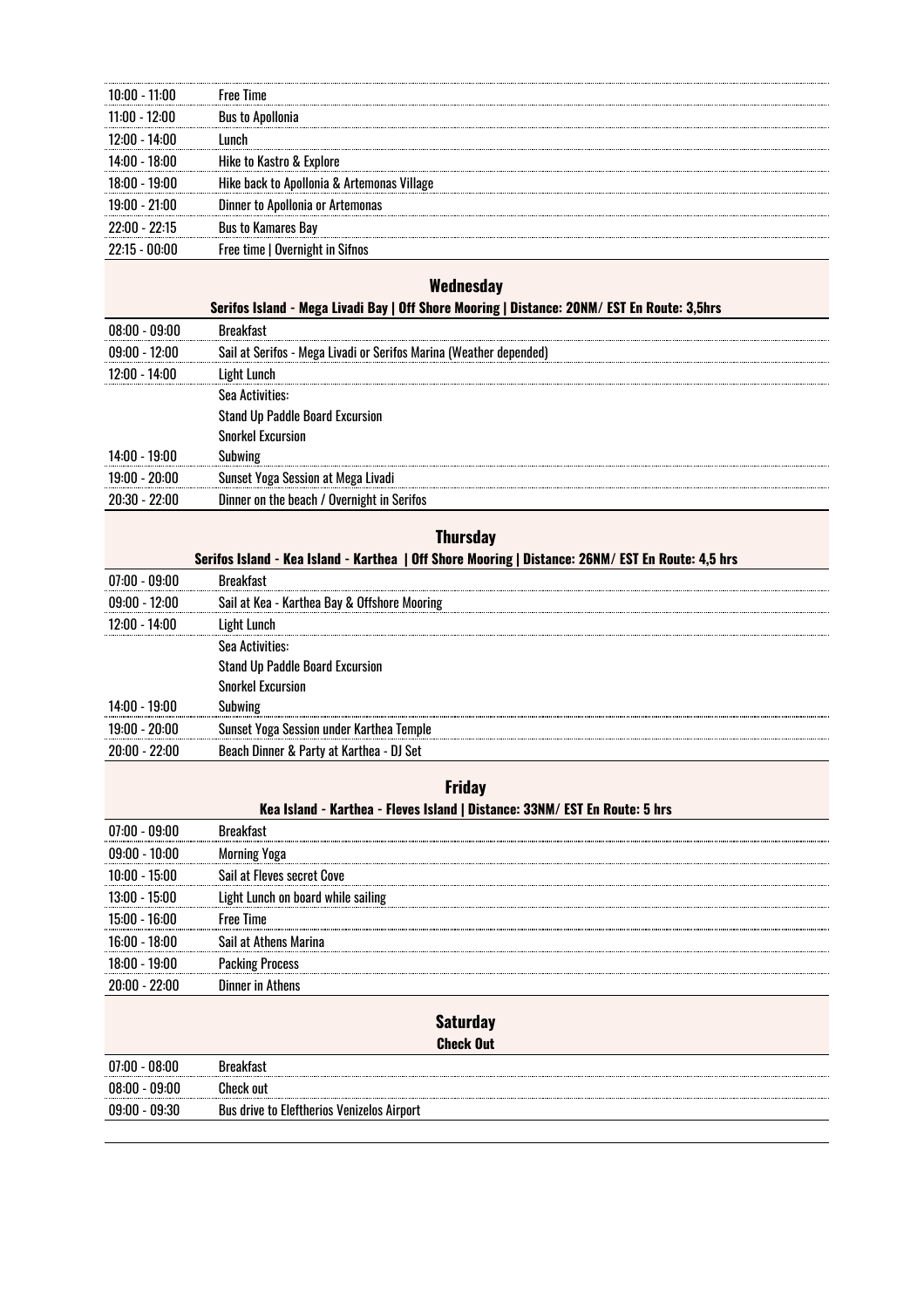| $10:00 - 11:00$                                                            | <b>Free Time</b>                                                                                                |  |
|----------------------------------------------------------------------------|-----------------------------------------------------------------------------------------------------------------|--|
| 11:00 - 12:00                                                              | <b>Bus to Apollonia</b>                                                                                         |  |
| 12:00 - 14:00                                                              | Lunch                                                                                                           |  |
| 14:00 - 18:00                                                              | Hike to Kastro & Explore                                                                                        |  |
| 18:00 - 19:00                                                              | Hike back to Apollonia & Artemonas Village                                                                      |  |
| 19:00 - 21:00                                                              | Dinner to Apollonia or Artemonas                                                                                |  |
| 22:00 - 22:15                                                              | <b>Bus to Kamares Bay</b>                                                                                       |  |
| $22:15 - 00:00$                                                            | Free time   Overnight in Sifnos                                                                                 |  |
|                                                                            |                                                                                                                 |  |
| Wednesday                                                                  |                                                                                                                 |  |
| $08:00 - 09:00$                                                            | Serifos Island - Mega Livadi Bay   Off Shore Mooring   Distance: 20NM/ EST En Route: 3,5hrs<br><b>Breakfast</b> |  |
| $09:00 - 12:00$                                                            |                                                                                                                 |  |
|                                                                            | Sail at Serifos - Mega Livadi or Serifos Marina (Weather depended)                                              |  |
| 12:00 - 14:00                                                              | <b>Light Lunch</b><br>Sea Activities:                                                                           |  |
|                                                                            | <b>Stand Up Paddle Board Excursion</b>                                                                          |  |
|                                                                            | <b>Snorkel Excursion</b>                                                                                        |  |
| 14:00 - 19:00                                                              | Subwing                                                                                                         |  |
| $19:00 - 20:00$                                                            | Sunset Yoga Session at Mega Livadi                                                                              |  |
| $20:30 - 22:00$                                                            | Dinner on the beach / Overnight in Serifos                                                                      |  |
|                                                                            |                                                                                                                 |  |
|                                                                            | <b>Thursday</b>                                                                                                 |  |
|                                                                            | Serifos Island - Kea Island - Karthea   Off Shore Mooring   Distance: 26NM/ EST En Route: 4,5 hrs               |  |
| $07:00 - 09:00$                                                            | <b>Breakfast</b>                                                                                                |  |
| $09:00 - 12:00$                                                            | Sail at Kea - Karthea Bay & Offshore Mooring                                                                    |  |
| 12:00 - 14:00                                                              | <b>Light Lunch</b>                                                                                              |  |
|                                                                            | Sea Activities:                                                                                                 |  |
|                                                                            | <b>Stand Up Paddle Board Excursion</b>                                                                          |  |
|                                                                            | <b>Snorkel Excursion</b>                                                                                        |  |
| 14:00 - 19:00                                                              | Subwing                                                                                                         |  |
| $19:00 - 20:00$                                                            | Sunset Yoga Session under Karthea Temple                                                                        |  |
| $20:00 - 22:00$                                                            | Beach Dinner & Party at Karthea - DJ Set                                                                        |  |
|                                                                            | <b>Friday</b>                                                                                                   |  |
| Kea Island - Karthea - Fleves Island   Distance: 33NM/ EST En Route: 5 hrs |                                                                                                                 |  |
| $07:00 - 09:00$                                                            | <b>Breakfast</b>                                                                                                |  |
| $09:00 - 10:00$                                                            | <b>Morning Yoga</b>                                                                                             |  |
| 10:00 - 15:00                                                              | Sail at Fleves secret Cove                                                                                      |  |
| 13:00 - 15:00                                                              | Light Lunch on board while sailing                                                                              |  |
| 15:00 - 16:00                                                              | <b>Free Time</b>                                                                                                |  |
| 16:00 - 18:00                                                              | Sail at Athens Marina                                                                                           |  |
| 18:00 - 19:00                                                              |                                                                                                                 |  |
| 20:00 - 22:00                                                              | <b>Packing Process</b><br><b>Dinner in Athens</b>                                                               |  |
|                                                                            |                                                                                                                 |  |
| <b>Saturday</b>                                                            |                                                                                                                 |  |
| <b>Check Out</b>                                                           |                                                                                                                 |  |
| $07:00 - 08:00$                                                            | <b>Breakfast</b>                                                                                                |  |
| $08:00 - 09:00$                                                            | <b>Check out</b>                                                                                                |  |
| $09:00 - 09:30$                                                            | <b>Bus drive to Eleftherios Venizelos Airport</b>                                                               |  |
|                                                                            |                                                                                                                 |  |